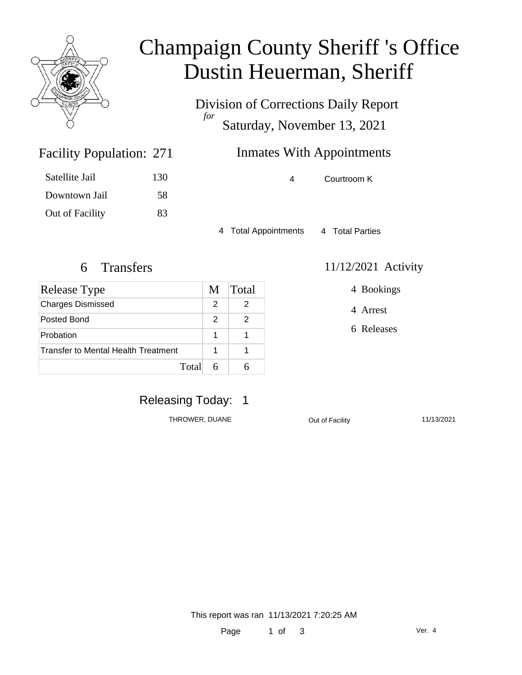

### Champaign County Sheriff 's Office Dustin Heuerman, Sheriff

Division of Corrections Daily Report *for* Saturday, November 13, 2021

### **Inmates With Appointments**

4 Courtroom K

4 Total Appointments 4 Total Parties

4 Bookings

4 Arrest

6 Releases

Satellite Jail 130

Facility Population: 271

Downtown Jail 58 Out of Facility 83

6 Transfers 11/12/2021 Activity

| Release Type                        | M | <b>Total</b> |
|-------------------------------------|---|--------------|
| <b>Charges Dismissed</b>            | 2 |              |
| Posted Bond                         | 2 |              |
| Probation                           | 1 |              |
| Transfer to Mental Health Treatment |   |              |
| Total                               |   |              |

### Releasing Today: 1

THROWER, DUANE **Out of Facility** 11/13/2021

This report was ran 11/13/2021 7:20:25 AM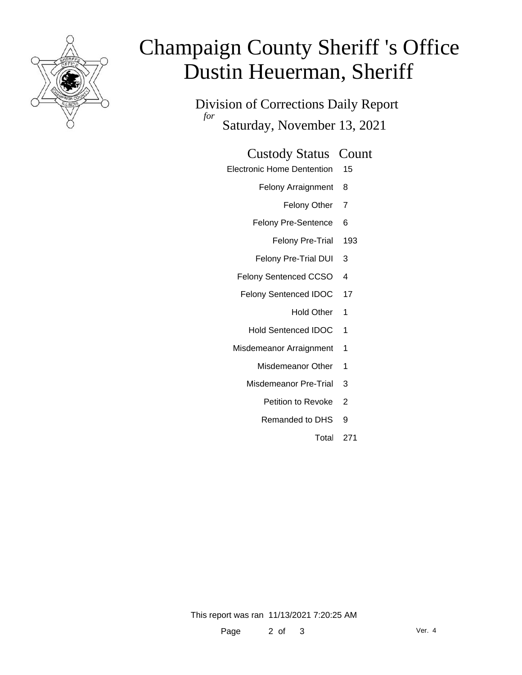

# Champaign County Sheriff 's Office Dustin Heuerman, Sheriff

Division of Corrections Daily Report *for* Saturday, November 13, 2021

#### Custody Status Count

- Electronic Home Dentention 15
	- Felony Arraignment 8
		- Felony Other 7
	- Felony Pre-Sentence 6
		- Felony Pre-Trial 193
	- Felony Pre-Trial DUI 3
	- Felony Sentenced CCSO 4
	- Felony Sentenced IDOC 17
		- Hold Other 1
		- Hold Sentenced IDOC 1
	- Misdemeanor Arraignment 1
		- Misdemeanor Other 1
		- Misdemeanor Pre-Trial 3
			- Petition to Revoke 2
			- Remanded to DHS 9
				- Total 271

This report was ran 11/13/2021 7:20:25 AM